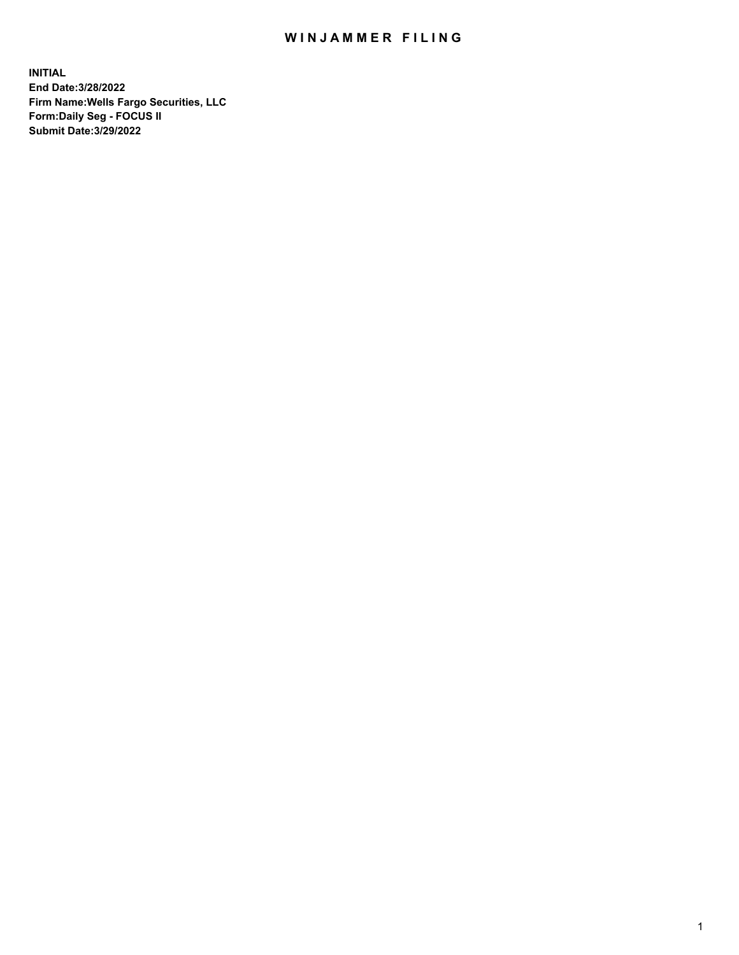## WIN JAMMER FILING

**INITIAL End Date:3/28/2022 Firm Name:Wells Fargo Securities, LLC Form:Daily Seg - FOCUS II Submit Date:3/29/2022**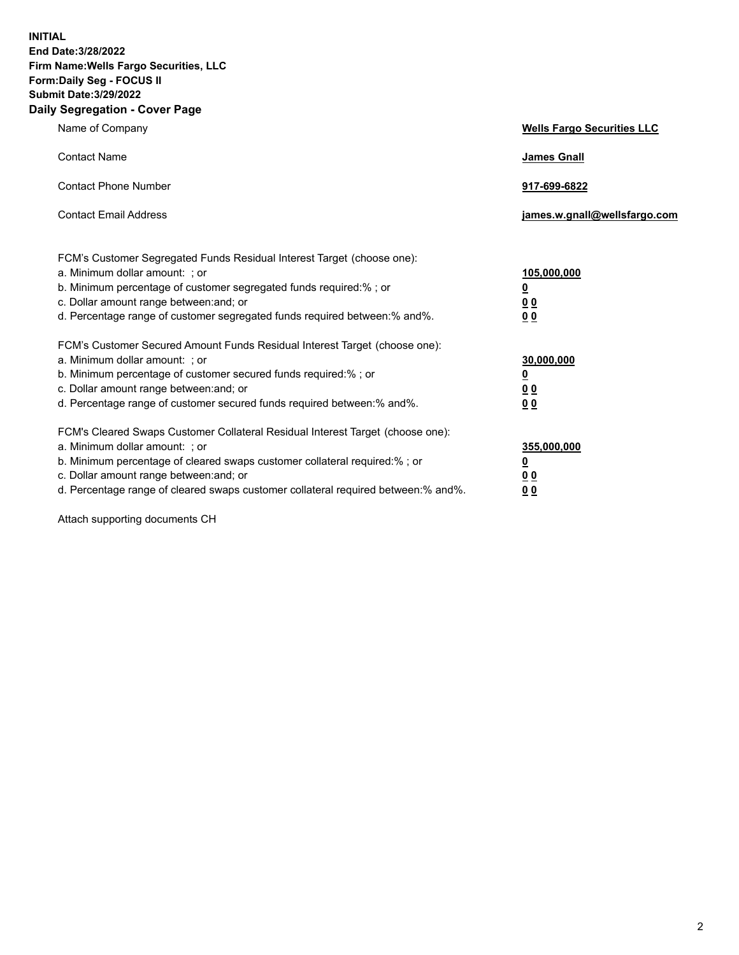**INITIAL End Date:3/28/2022 Firm Name:Wells Fargo Securities, LLC Form:Daily Seg - FOCUS II Submit Date:3/29/2022 Daily Segregation - Cover Page**

| Name of Company                                                                                                                                                                                                                                                                                                                | <b>Wells Fargo Securities LLC</b>                          |
|--------------------------------------------------------------------------------------------------------------------------------------------------------------------------------------------------------------------------------------------------------------------------------------------------------------------------------|------------------------------------------------------------|
| <b>Contact Name</b>                                                                                                                                                                                                                                                                                                            | <b>James Gnall</b>                                         |
| <b>Contact Phone Number</b>                                                                                                                                                                                                                                                                                                    | 917-699-6822                                               |
| <b>Contact Email Address</b>                                                                                                                                                                                                                                                                                                   | james.w.gnall@wellsfargo.com                               |
| FCM's Customer Segregated Funds Residual Interest Target (choose one):<br>a. Minimum dollar amount: ; or<br>b. Minimum percentage of customer segregated funds required:% ; or<br>c. Dollar amount range between: and; or<br>d. Percentage range of customer segregated funds required between:% and%.                         | 105,000,000<br><u>0</u><br>0 <sub>0</sub><br>00            |
| FCM's Customer Secured Amount Funds Residual Interest Target (choose one):<br>a. Minimum dollar amount: ; or<br>b. Minimum percentage of customer secured funds required:%; or<br>c. Dollar amount range between: and; or<br>d. Percentage range of customer secured funds required between:% and%.                            | 30,000,000<br><u>0</u><br>0 <sub>0</sub><br>0 <sub>0</sub> |
| FCM's Cleared Swaps Customer Collateral Residual Interest Target (choose one):<br>a. Minimum dollar amount: ; or<br>b. Minimum percentage of cleared swaps customer collateral required:% ; or<br>c. Dollar amount range between: and; or<br>d. Percentage range of cleared swaps customer collateral required between:% and%. | 355,000,000<br><u>0</u><br>00<br>00                        |

Attach supporting documents CH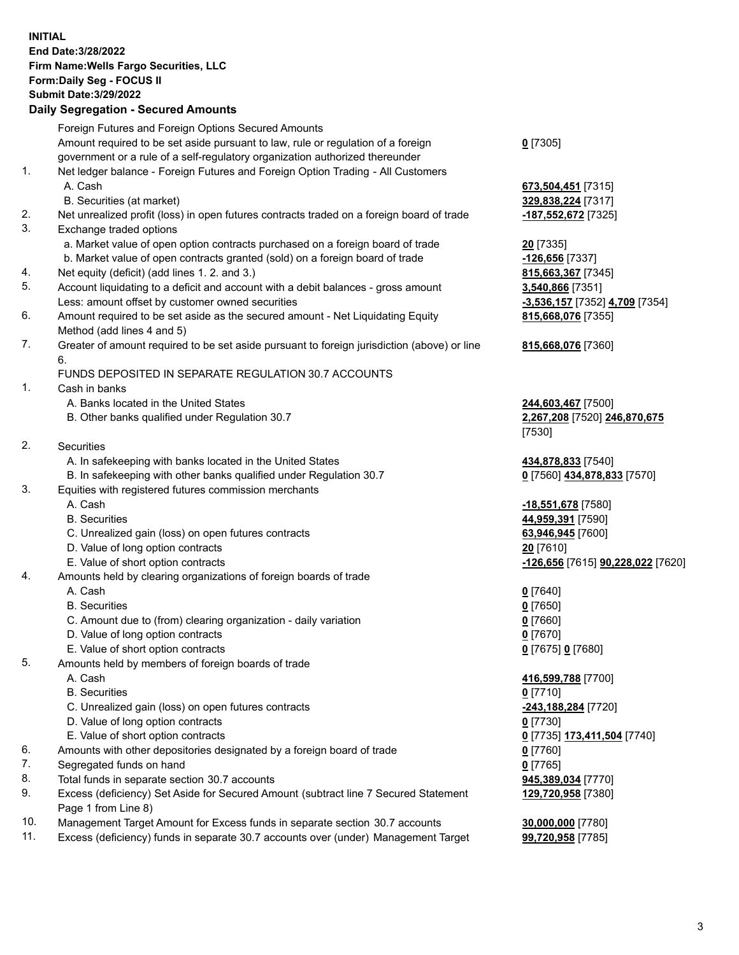**INITIAL End Date:3/28/2022 Firm Name:Wells Fargo Securities, LLC Form:Daily Seg - FOCUS II Submit Date:3/29/2022 Daily Segregation - Secured Amounts**

Foreign Futures and Foreign Options Secured Amounts Amount required to be set aside pursuant to law, rule or regulation of a foreign government or a rule of a self-regulatory organization authorized thereunder **0** [7305] 1. Net ledger balance - Foreign Futures and Foreign Option Trading - All Customers A. Cash **673,504,451** [7315] B. Securities (at market) **329,838,224** [7317] 2. Net unrealized profit (loss) in open futures contracts traded on a foreign board of trade **-187,552,672** [7325] 3. Exchange traded options a. Market value of open option contracts purchased on a foreign board of trade **20** [7335] b. Market value of open contracts granted (sold) on a foreign board of trade **-126,656** [7337] 4. Net equity (deficit) (add lines 1. 2. and 3.) **815,663,367** [7345] 5. Account liquidating to a deficit and account with a debit balances - gross amount **3,540,866** [7351] Less: amount offset by customer owned securities **-3,536,157** [7352] **4,709** [7354] 6. Amount required to be set aside as the secured amount - Net Liquidating Equity Method (add lines 4 and 5) 7. Greater of amount required to be set aside pursuant to foreign jurisdiction (above) or line 6. FUNDS DEPOSITED IN SEPARATE REGULATION 30.7 ACCOUNTS 1. Cash in banks A. Banks located in the United States **244,603,467** [7500] B. Other banks qualified under Regulation 30.7 **2,267,208** [7520] **246,870,675** [7530] 2. Securities A. In safekeeping with banks located in the United States **434,878,833** [7540] B. In safekeeping with other banks qualified under Regulation 30.7 **0** [7560] **434,878,833** [7570] 3. Equities with registered futures commission merchants A. Cash **-18,551,678** [7580] B. Securities **44,959,391** [7590] C. Unrealized gain (loss) on open futures contracts **63,946,945** [7600] D. Value of long option contracts **20** [7610] E. Value of short option contracts **-126,656** [7615] **90,228,022** [7620] 4. Amounts held by clearing organizations of foreign boards of trade A. Cash **0** [7640] B. Securities **0** [7650] C. Amount due to (from) clearing organization - daily variation **0** [7660] D. Value of long option contracts **0** [7670] E. Value of short option contracts **0** [7675] **0** [7680] 5. Amounts held by members of foreign boards of trade A. Cash **416,599,788** [7700] B. Securities **0** [7710] C. Unrealized gain (loss) on open futures contracts **-243,188,284** [7720] D. Value of long option contracts **0** [7730] E. Value of short option contracts **0** [7735] **173,411,504** [7740]

6. Amounts with other depositories designated by a foreign board of trade **0** [7760]

- 7. Segregated funds on hand **0** [7765]
- 8. Total funds in separate section 30.7 accounts **945,389,034** [7770]
- 9. Excess (deficiency) Set Aside for Secured Amount (subtract line 7 Secured Statement Page 1 from Line 8)
- 10. Management Target Amount for Excess funds in separate section 30.7 accounts **30,000,000** [7780]
- 11. Excess (deficiency) funds in separate 30.7 accounts over (under) Management Target **99,720,958** [7785]

**815,668,076** [7355]

## **815,668,076** [7360]

**129,720,958** [7380]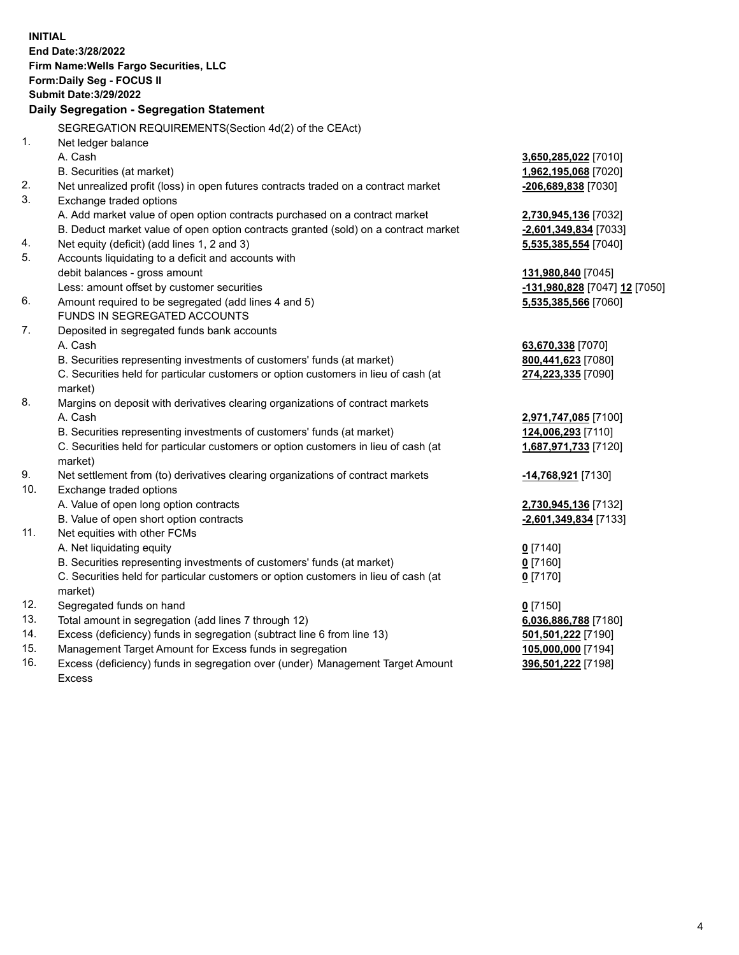**INITIAL End Date:3/28/2022 Firm Name:Wells Fargo Securities, LLC Form:Daily Seg - FOCUS II Submit Date:3/29/2022 Daily Segregation - Segregation Statement** SEGREGATION REQUIREMENTS(Section 4d(2) of the CEAct) 1. Net ledger balance A. Cash **3,650,285,022** [7010] B. Securities (at market) **1,962,195,068** [7020] 2. Net unrealized profit (loss) in open futures contracts traded on a contract market **-206,689,838** [7030] 3. Exchange traded options A. Add market value of open option contracts purchased on a contract market **2,730,945,136** [7032] B. Deduct market value of open option contracts granted (sold) on a contract market **-2,601,349,834** [7033] 4. Net equity (deficit) (add lines 1, 2 and 3) **5,535,385,554** [7040] 5. Accounts liquidating to a deficit and accounts with debit balances - gross amount **131,980,840** [7045] Less: amount offset by customer securities **-131,980,828** [7047] **12** [7050] 6. Amount required to be segregated (add lines 4 and 5) **5,535,385,566** [7060] FUNDS IN SEGREGATED ACCOUNTS 7. Deposited in segregated funds bank accounts A. Cash **63,670,338** [7070] B. Securities representing investments of customers' funds (at market) **800,441,623** [7080] C. Securities held for particular customers or option customers in lieu of cash (at market) **274,223,335** [7090] 8. Margins on deposit with derivatives clearing organizations of contract markets A. Cash **2,971,747,085** [7100] B. Securities representing investments of customers' funds (at market) **124,006,293** [7110] C. Securities held for particular customers or option customers in lieu of cash (at market) **1,687,971,733** [7120] 9. Net settlement from (to) derivatives clearing organizations of contract markets **-14,768,921** [7130] 10. Exchange traded options A. Value of open long option contracts **2,730,945,136** [7132] B. Value of open short option contracts **-2,601,349,834** [7133] 11. Net equities with other FCMs A. Net liquidating equity **0** [7140] B. Securities representing investments of customers' funds (at market) **0** [7160] C. Securities held for particular customers or option customers in lieu of cash (at market) **0** [7170] 12. Segregated funds on hand **0** [7150] 13. Total amount in segregation (add lines 7 through 12) **6,036,886,788** [7180] 14. Excess (deficiency) funds in segregation (subtract line 6 from line 13) **501,501,222** [7190] 15. Management Target Amount for Excess funds in segregation **105,000,000** [7194] 16. Excess (deficiency) funds in segregation over (under) Management Target Amount **396,501,222** [7198]

Excess